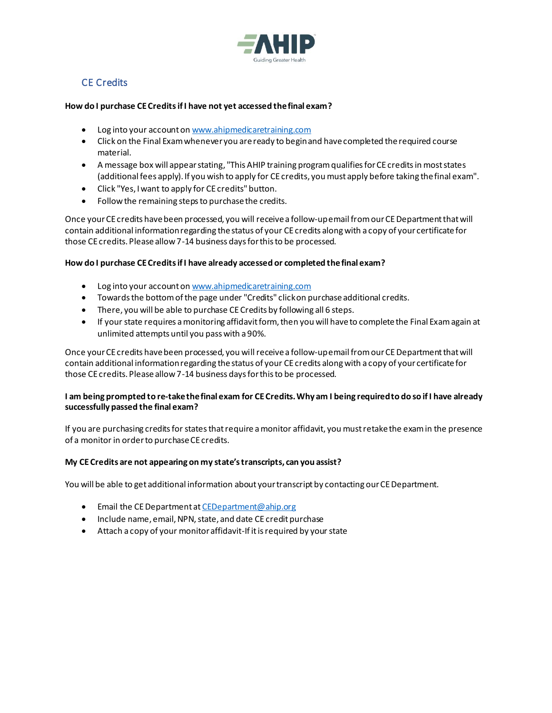

# CE Credits

## **How do I purchase CE Creditsif I have not yet accessed the final exam?**

- Log into your account o[n www.ahipmedicaretraining.com](http://www.ahipmedicaretraining.com/)
- Click on the Final Exam whenever you are ready to begin and have completed the required course material.
- A message box will appear stating, "This AHIP training program qualifies for CE credits in most states (additional fees apply). If you wish to apply for CE credits, you must apply before taking the final exam".
- Click "Yes, I want to apply for CE credits" button.
- Follow the remaining steps to purchase the credits.

Once your CE credits have been processed, you will receive a follow-up email from our CE Department that will contain additional information regarding the status of your CE credits along with a copy of your certificate for those CE credits. Please allow 7-14 business days for this to be processed.

## **How do I purchase CE Credits if I have already accessed or completed the final exam?**

- Log into your account o[n www.ahipmedicaretraining.com](https://www.ahipmedicaretraining.com/)
- Towards the bottom of the page under "Credits" click on purchase additional credits.
- There, you will be able to purchase CE Credits by following all 6 steps.
- If your state requires a monitoring affidavit form, then you will have to complete the Final Exam again at unlimited attempts until you pass with a 90%.

Once your CE credits have been processed, you will receive a follow-up email from our CE Department that will contain additional information regarding the status of your CE credits along with a copy of your certificate for those CE credits. Please allow 7-14 business days for this to be processed.

## **I am being prompted to re-take the final exam for CE Credits. Why am I being required to do so if I have already successfully passed the final exam?**

If you are purchasing credits for states that require a monitor affidavit, you must retake the exam in the presence of a monitor in order to purchase CE credits.

## **My CE Credits are not appearing on my state's transcripts, can you assist?**

You will be able to get additional information about your transcript by contacting our CE Department.

- Email the CE Department a[t CEDepartment@ahip.org](mailto:CEDepartment@ahip.org)
- Include name, email, NPN, state, and date CE credit purchase
- Attach a copy of your monitor affidavit-If it is required by your state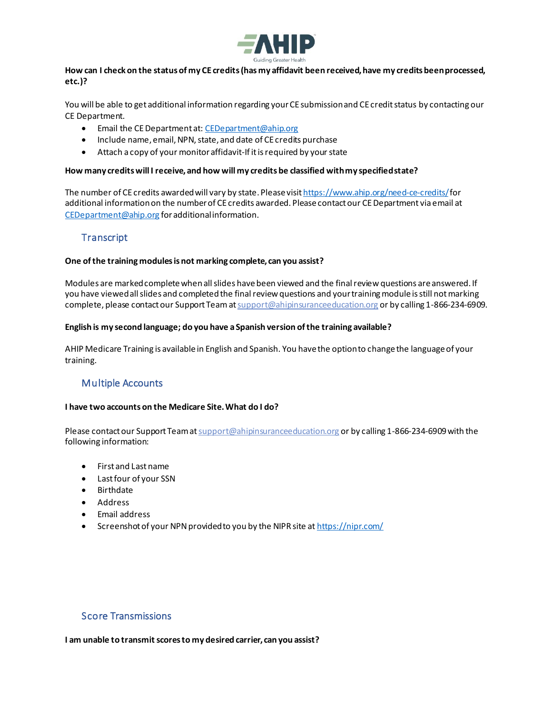

### **How can I check on the status of my CE credits (has my affidavit been received, have my credits been processed, etc.)?**

You will be able to get additional information regarding your CE submission and CE credit status by contacting our CE Department.

- Email the CE Department at[: CEDepartment@ahip.org](mailto:CEDepartment@ahip.org)
- Include name, email, NPN, state, and date of CE credits purchase
- Attach a copy of your monitor affidavit-If it is required by your state

#### **How many credits will I receive, and how will my credits be classified with my specified state?**

The number of CE credits awarded will vary by state. Please visi[t https://www.ahip.org/need-ce-credits/](https://www.ahip.org/need-ce-credits/)for additional informationon the number of CE credits awarded. Please contact our CE Department via email at [CEDepartment@ahip.org](mailto:CEDepartment@ahip.org) for additional information.

## **Transcript**

#### **One of the training modules is not marking complete, can you assist?**

Modules are marked complete when all slides have been viewed and the final review questions are answered. If you have viewed all slides and completed the final review questions and your training module is still not marking complete, please contact our Support Team at support@ahipinsuranceeducation.org or by calling 1-866-234-6909.

#### **English is my second language; do you have a Spanish version of the training available?**

AHIP Medicare Training is available in English and Spanish. You have the option to change the language of your training.

## Multiple Accounts

#### **I have two accounts on the Medicare Site.What do I do?**

Please contact our Support Team at support @ahipinsuranceeducation.org or by calling 1-866-234-6909 with the following information:

- First and Last name
- Last four of your SSN
- Birthdate
- Address
- Email address
- Screenshot of your NPN provided to you by the NIPR site at <https://nipr.com/>

## Score Transmissions

**I am unable to transmit scores to my desired carrier, can you assist?**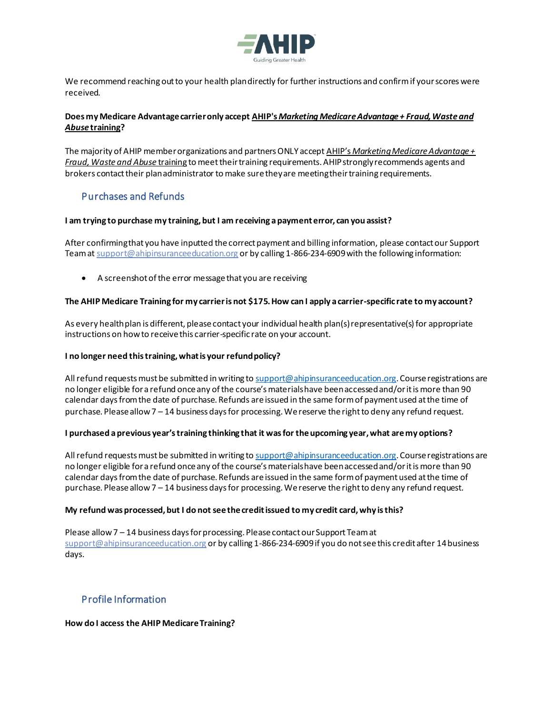

We recommend reaching out to your health plan directly for further instructions and confirmif yourscores were received.

## **Does my Medicare Advantage carrier only accept AHIP's** *[Marketing Medicare Advantage + Fraud, Waste and](https://info.ahip.org/acton/ct/4056/e-4ae6-2005/Bct/l-tst/l-tst:4f/ct5_0/1?sid=TV2%3Amx6846Oa7)  Abuse* **[training?](https://info.ahip.org/acton/ct/4056/e-4ae6-2005/Bct/l-tst/l-tst:4f/ct5_0/1?sid=TV2%3Amx6846Oa7)**

The majority of AHIP member organizations and partners ONLY accept AHIP's *[Marketing Medicare Advantage +](https://info.ahip.org/acton/ct/4056/e-4ae6-2005/Bct/l-tst/l-tst:4f/ct5_1/1?sid=TV2%3Amx6846Oa7)  [Fraud, Waste and Abuse](https://info.ahip.org/acton/ct/4056/e-4ae6-2005/Bct/l-tst/l-tst:4f/ct5_1/1?sid=TV2%3Amx6846Oa7)* training to meet their training requirements. AHIP strongly recommends agents and brokers contact their plan administrator to make sure they are meeting their training requirements.

## Purchases and Refunds

## **I am trying to purchase my training,but I am receiving a payment error, can you assist?**

After confirming that you have inputted the correct payment and billing information, please contact our Support Team a[t support@ahipinsuranceeducation.org](mailto:support@ahipinsuranceeducation.org) or by calling 1-866-234-6909 with the following information:

• A screenshot of the error message that you are receiving

## **The AHIP Medicare Training for my carrier is not \$175. How can I apply a carrier-specific rate to my account?**

As every health plan is different, please contact your individual health plan(s) representative(s) for appropriate instructions on how to receive this carrier-specific rate on your account.

### **I no longer need this training, what is your refund policy?**

All refund requests must be submitted in writing to  $\text{support@}$  ahipinsuranceeducation.org. Course registrations are no longer eligible for a refund once any of the course's materials have been accessed and/or it is more than 90 calendar days from the date of purchase. Refunds are issued in the same form of payment used at the time of purchase. Please allow 7 – 14 business days for processing. We reserve the right to deny any refund request.

#### **I purchased a previous year's training thinking that it was for the upcoming year, what are my options?**

All refund requests must be submitted in writing to [support@ahipinsuranceeducation.org](mailto:support@ahipinsuranceeducation.org). Course registrations are no longer eligible for a refund once any of the course's materials have been accessed and/or it is more than 90 calendar days from the date of purchase. Refunds are issued in the same form of payment used at the time of purchase. Please allow 7 – 14 business days for processing. We reserve the right to deny any refund request.

#### **My refund was processed, but I do not see the credit issued to my credit card, why is this?**

Please allow 7 – 14 business days for processing. Please contact our Support Team at [support@ahipinsuranceeducation.org](mailto:support@ahipinsuranceeducation.org) or by calling 1-866-234-6909 if you do not see this credit after 14 business days.

## Profile Information

#### **How do I access the AHIP Medicare Training?**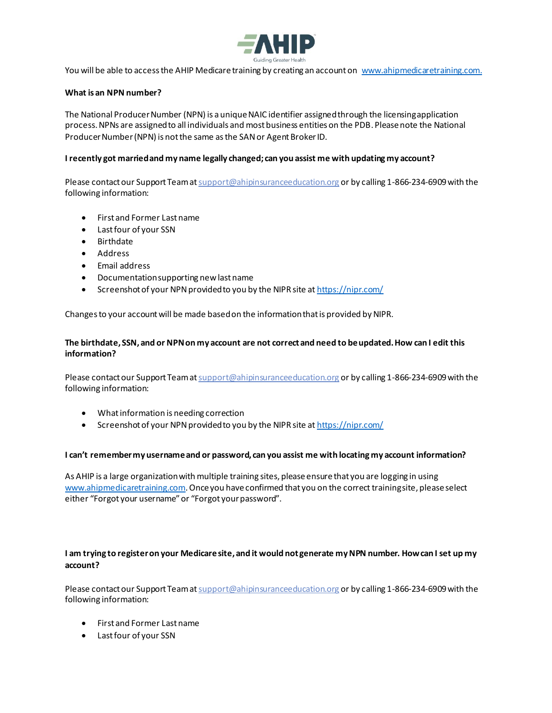

You will be able to access the AHIP Medicare training by creating an account on [www.ahipmedicaretraining.com](http://www.ahipmedicaretraining.com/).

#### **What is an NPN number?**

The National Producer Number (NPN) is a unique NAIC identifier assigned through the licensing application process. NPNs are assigned to all individuals and most business entities on the PDB. Please note the National Producer Number (NPN) is not the same as the SAN or Agent Broker ID.

#### **I recently got married and my name legally changed; can you assist me with updating my account?**

Please contact our Support Team a[t support@ahipinsuranceeducation.org](mailto:support@ahipinsuranceeducation.org) or by calling 1-866-234-6909 with the following information:

- First and Former Last name
- Last four of your SSN
- Birthdate
- Address
- Email address
- Documentation supporting new last name
- Screenshot of your NPN provided to you by the NIPR site a[t https://nipr.com/](https://nipr.com/)

Changes to your account will be made based on the information that is provided by NIPR.

### **The birthdate, SSN, and or NPN on my account are not correct and need to be updated. How can I edit this information?**

Please contact our Support Team at support @ahipinsuranceeducation.org or by calling 1-866-234-6909 with the following information:

- What information is needing correction
- Screenshot of your NPN provided to you by the NIPR site a[t https://nipr.com/](https://nipr.com/)

#### **I can't remember my username and or password, can you assist me with locating my account information?**

As AHIP is a large organization with multiple training sites, please ensure that you are logging in using [www.ahipmedicaretraining.com](http://www.ahipmedicaretraining.com/). Once you have confirmed that you on the correct training site, please select either "Forgot your username" or "Forgot your password".

#### **I am trying to register on your Medicare site, and it would not generate my NPN number. How can I set up my account?**

Please contact our Support Team a[t support@ahipinsuranceeducation.org](mailto:support@ahipinsuranceeducation.org) or by calling 1-866-234-6909 with the following information:

- First and Former Last name
- Last four of your SSN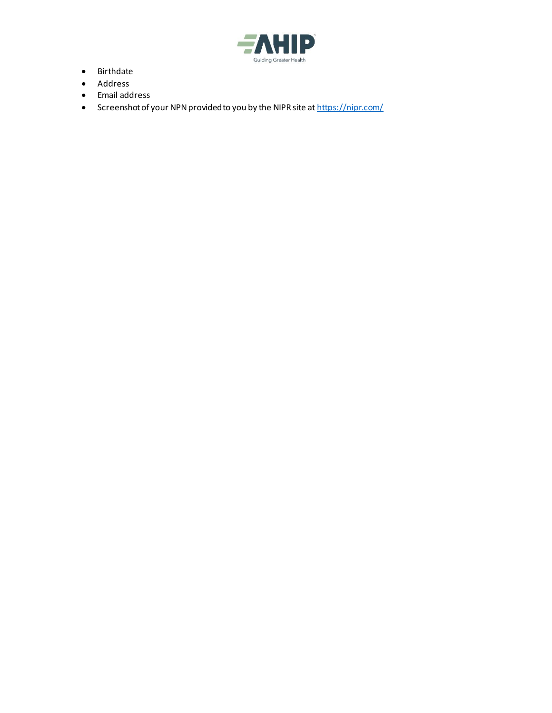

- Birthdate
- Address
- Email address
- Screenshot of your NPN provided to you by the NIPR site a[t https://nipr.com/](https://nipr.com/)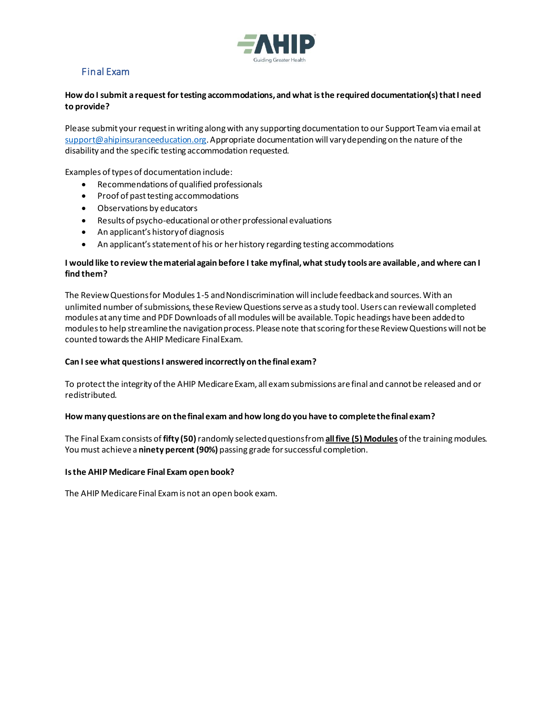

## Final Exam

## **How do I submit a request for testing accommodations, and what is the required documentation(s) that I need to provide?**

Please submit your request in writing along with any supporting documentation to our Support Team via email at [support@ahipinsuranceeducation.org](mailto:support@ahipinsuranceeducation.org). Appropriate documentation will vary depending on the nature of the disability and the specific testing accommodation requested.

Examples of types of documentation include:

- Recommendations of qualified professionals
- Proof of past testing accommodations
- Observations by educators
- Results of psycho-educational or other professional evaluations
- An applicant's history of diagnosis
- An applicant's statement of his or her history regarding testing accommodations

### **I would like to review the material again before I take my final, what study tools are available, and where can I find them?**

The Review Questions for Modules 1-5 and Nondiscrimination will include feedback and sources. With an unlimited number of submissions, these Review Questions serve as a study tool. Users can review all completed modules at any time and PDF Downloads of all modules will be available. Topic headings have been added to modules to help streamline the navigation process. Please note that scoring for these Review Questions will not be counted towards the AHIP Medicare Final Exam.

#### **Can I see what questions I answered incorrectly on the final exam?**

To protect the integrity of the AHIP Medicare Exam, all exam submissions are final and cannot be released and or redistributed.

#### **How many questions are on the final exam and how long do you have to completethe final exam?**

The Final Exam consists of **fifty (50)**randomly selected questions from **all five (5) Modules** of the training modules. You must achieve a **ninety percent (90%)** passing grade for successful completion.

#### **Is the AHIP Medicare Final Exam open book?**

The AHIP Medicare Final Exam is not an open book exam.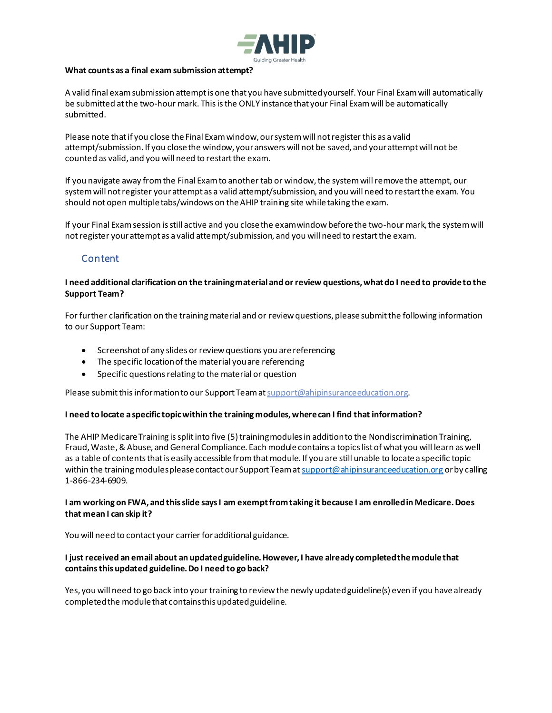

#### **What counts as a final exam submission attempt?**

A valid final exam submission attempt is one that you have submitted yourself. Your Final Exam will automatically be submitted at the two-hour mark. This is the ONLY instance that your Final Exam will be automatically submitted.

Please note that if you close the Final Exam window, our system will not register this as a valid attempt/submission. If you close the window, your answers will not be saved, and your attempt will not be counted as valid, and you will need to restart the exam.

If you navigate away from the Final Examto another tab or window, the system will remove the attempt, our system will not register your attempt as a valid attempt/submission, and you will need to restart the exam. You should not open multiple tabs/windows on the AHIP training site while taking the exam.

If your Final Exam session is still active and you close the exam window before the two-hour mark, the system will not register your attempt as a valid attempt/submission, and you will need to restart the exam.

## Content

## **I need additional clarification on the training material and or review questions, what do I need to provide to the Support Team?**

For further clarification on the training material and or review questions, please submit the following information to our Support Team:

- Screenshot of any slides or review questions you are referencing
- The specific location of the material you are referencing
- Specific questions relating to the material or question

Please submit this information to our Support Team a[t support@ahipinsuranceeducation.org](mailto:support@ahipinsuranceeducation.org).

#### **I need to locate a specific topic within the training modules, where can I find that information?**

The AHIP Medicare Training is split into five (5) training modules in addition to the Nondiscrimination Training, Fraud, Waste, & Abuse, and General Compliance. Each module contains a topics list of what you will learn as well as a table of contents that is easily accessible from that module. If you are still unable to locate a specific topic within the training modules please contact our Support Team a[t support@ahipinsuranceeducation.org](mailto:support@ahipinsuranceeducation.org) or by calling 1-866-234-6909.

## **I am working on FWA, and this slide says I am exempt from taking it because I am enrolled in Medicare. Does that mean I can skip it?**

You will need to contact your carrier for additional guidance.

#### **I just received an email about an updated guideline. However, I have already completed the module that contains this updated guideline. Do I need to go back?**

Yes, you will need to go back into your training to review the newly updated guideline(s) even if you have already completed the module that contains this updated guideline.